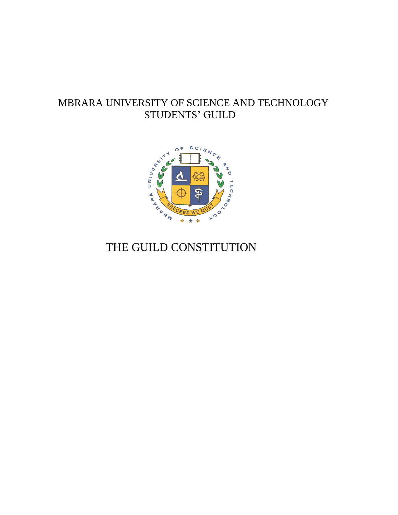# MBRARA UNIVERSITY OF SCIENCE AND TECHNOLOGY STUDENTS' GUILD



# THE GUILD CONSTITUTION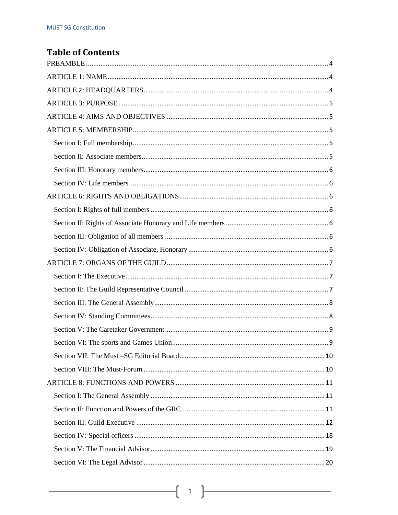# **Table of Contents**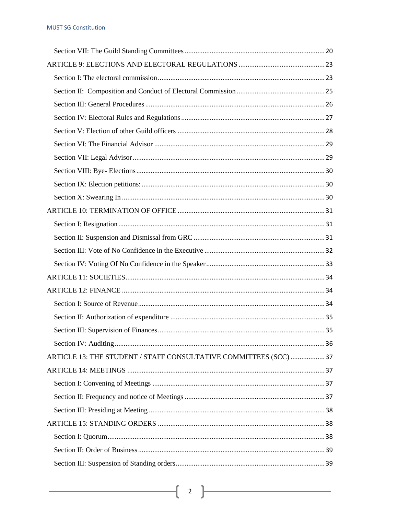| ARTICLE 13: THE STUDENT / STAFF CONSULTATIVE COMMITTEES (SCC)  37 |  |
|-------------------------------------------------------------------|--|
|                                                                   |  |
|                                                                   |  |
|                                                                   |  |
|                                                                   |  |
|                                                                   |  |
|                                                                   |  |
|                                                                   |  |
|                                                                   |  |

ſ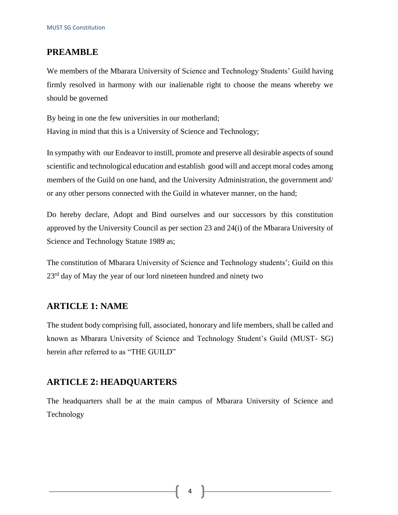# <span id="page-4-0"></span>**PREAMBLE**

We members of the Mbarara University of Science and Technology Students' Guild having firmly resolved in harmony with our inalienable right to choose the means whereby we should be governed

By being in one the few universities in our motherland; Having in mind that this is a University of Science and Technology;

In sympathy with our Endeavor to instill, promote and preserve all desirable aspects of sound scientific and technological education and establish good will and accept moral codes among members of the Guild on one hand, and the University Administration, the government and/ or any other persons connected with the Guild in whatever manner, on the hand;

Do hereby declare, Adopt and Bind ourselves and our successors by this constitution approved by the University Council as per section 23 and 24(i) of the Mbarara University of Science and Technology Statute 1989 as;

The constitution of Mbarara University of Science and Technology students'; Guild on this  $23<sup>rd</sup>$  day of May the year of our lord nineteen hundred and ninety two

# <span id="page-4-1"></span>**ARTICLE 1: NAME**

The student body comprising full, associated, honorary and life members, shall be called and known as Mbarara University of Science and Technology Student's Guild (MUST- SG) herein after referred to as "THE GUILD"

# <span id="page-4-2"></span>**ARTICLE 2: HEADQUARTERS**

The headquarters shall be at the main campus of Mbarara University of Science and Technology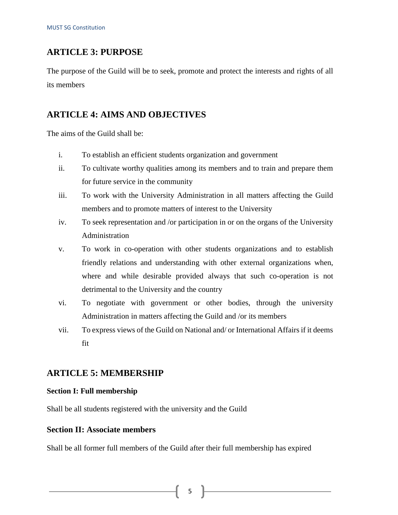# <span id="page-5-0"></span>**ARTICLE 3: PURPOSE**

The purpose of the Guild will be to seek, promote and protect the interests and rights of all its members

# <span id="page-5-1"></span>**ARTICLE 4: AIMS AND OBJECTIVES**

The aims of the Guild shall be:

- i. To establish an efficient students organization and government
- ii. To cultivate worthy qualities among its members and to train and prepare them for future service in the community
- iii. To work with the University Administration in all matters affecting the Guild members and to promote matters of interest to the University
- iv. To seek representation and /or participation in or on the organs of the University Administration
- v. To work in co-operation with other students organizations and to establish friendly relations and understanding with other external organizations when, where and while desirable provided always that such co-operation is not detrimental to the University and the country
- vi. To negotiate with government or other bodies, through the university Administration in matters affecting the Guild and /or its members
- vii. To express views of the Guild on National and/ or International Affairs if it deems fit

# <span id="page-5-2"></span>**ARTICLE 5: MEMBERSHIP**

### <span id="page-5-3"></span>**Section I: Full membership**

Shall be all students registered with the university and the Guild

### <span id="page-5-4"></span>**Section II: Associate members**

Shall be all former full members of the Guild after their full membership has expired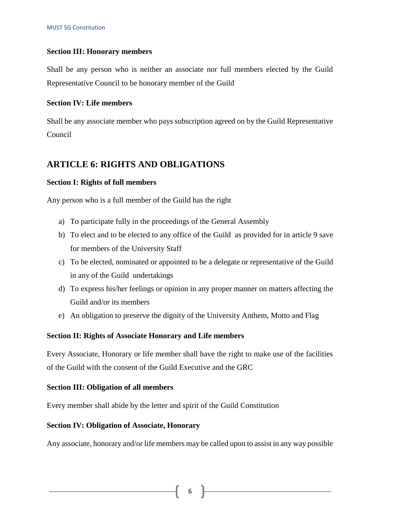### <span id="page-6-0"></span>**Section III: Honorary members**

Shall be any person who is neither an associate nor full members elected by the Guild Representative Council to be honorary member of the Guild

### <span id="page-6-1"></span>**Section IV: Life members**

Shall be any associate member who pays subscription agreed on by the Guild Representative Council

# <span id="page-6-2"></span>**ARTICLE 6: RIGHTS AND OBLIGATIONS**

### <span id="page-6-3"></span>**Section I: Rights of full members**

Any person who is a full member of the Guild has the right

- a) To participate fully in the proceedings of the General Assembly
- b) To elect and to be elected to any office of the Guild as provided for in article 9 save for members of the University Staff
- c) To be elected, nominated or appointed to be a delegate or representative of the Guild in any of the Guild undertakings
- d) To express his/her feelings or opinion in any proper manner on matters affecting the Guild and/or its members
- e) An obligation to preserve the dignity of the University Anthem, Motto and Flag

### <span id="page-6-4"></span>**Section II: Rights of Associate Honorary and Life members**

Every Associate, Honorary or life member shall have the right to make use of the facilities of the Guild with the consent of the Guild Executive and the GRC

### <span id="page-6-5"></span>**Section III: Obligation of all members**

Every member shall abide by the letter and spirit of the Guild Constitution

# <span id="page-6-6"></span>**Section IV: Obligation of Associate, Honorary**

Any associate, honorary and/or life members may be called upon to assist in any way possible

【6】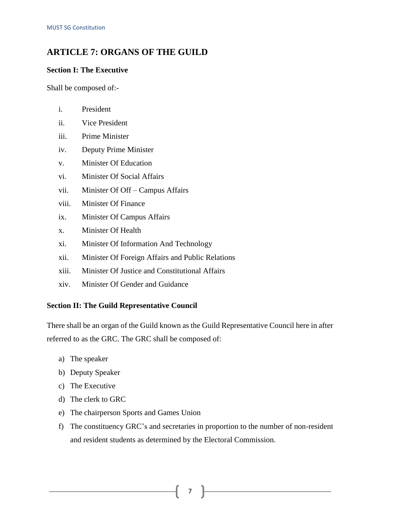# <span id="page-7-0"></span>**ARTICLE 7: ORGANS OF THE GUILD**

### <span id="page-7-1"></span>**Section I: The Executive**

Shall be composed of:-

- ii. Vice President
- iii. Prime Minister
- iv. Deputy Prime Minister
- v. Minister Of Education
- vi. Minister Of Social Affairs
- vii. Minister Of Off Campus Affairs
- viii. Minister Of Finance
- ix. Minister Of Campus Affairs
- x. Minister Of Health
- xi. Minister Of Information And Technology
- xii. Minister Of Foreign Affairs and Public Relations
- xiii. Minister Of Justice and Constitutional Affairs
- xiv. Minister Of Gender and Guidance

### <span id="page-7-2"></span>**Section II: The Guild Representative Council**

There shall be an organ of the Guild known as the Guild Representative Council here in after referred to as the GRC. The GRC shall be composed of:

- a) The speaker
- b) Deputy Speaker
- c) The Executive
- d) The clerk to GRC
- e) The chairperson Sports and Games Union
- f) The constituency GRC's and secretaries in proportion to the number of non-resident and resident students as determined by the Electoral Commission.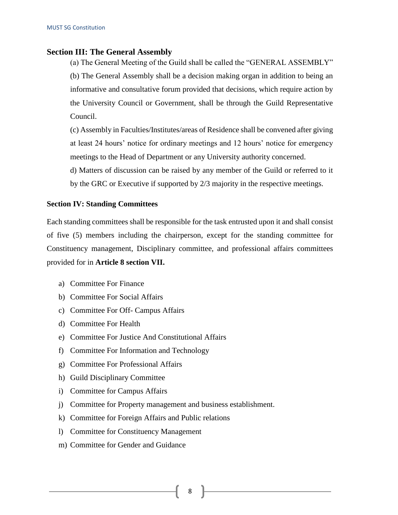### <span id="page-8-0"></span>**Section III: The General Assembly**

(a) The General Meeting of the Guild shall be called the "GENERAL ASSEMBLY" (b) The General Assembly shall be a decision making organ in addition to being an informative and consultative forum provided that decisions, which require action by the University Council or Government, shall be through the Guild Representative Council.

(c) Assembly in Faculties/Institutes/areas of Residence shall be convened after giving at least 24 hours' notice for ordinary meetings and 12 hours' notice for emergency meetings to the Head of Department or any University authority concerned.

d) Matters of discussion can be raised by any member of the Guild or referred to it by the GRC or Executive if supported by 2/3 majority in the respective meetings.

#### <span id="page-8-1"></span>**Section IV: Standing Committees**

Each standing committees shall be responsible for the task entrusted upon it and shall consist of five (5) members including the chairperson, except for the standing committee for Constituency management, Disciplinary committee, and professional affairs committees provided for in **Article 8 section VII.**

- a) Committee For Finance
- b) Committee For Social Affairs
- c) Committee For Off- Campus Affairs
- d) Committee For Health
- e) Committee For Justice And Constitutional Affairs
- f) Committee For Information and Technology
- g) Committee For Professional Affairs
- h) Guild Disciplinary Committee
- i) Committee for Campus Affairs
- j) Committee for Property management and business establishment.
- k) Committee for Foreign Affairs and Public relations
- l) Committee for Constituency Management
- m) Committee for Gender and Guidance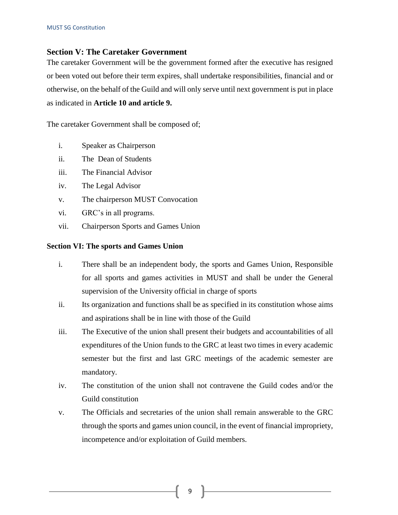# <span id="page-9-0"></span>**Section V: The Caretaker Government**

The caretaker Government will be the government formed after the executive has resigned or been voted out before their term expires, shall undertake responsibilities, financial and or otherwise, on the behalf of the Guild and will only serve until next government is put in place as indicated in **Article 10 and article 9.**

The caretaker Government shall be composed of;

- i. Speaker as Chairperson
- ii. The Dean of Students
- iii. The Financial Advisor
- iv. The Legal Advisor
- v. The chairperson MUST Convocation
- vi. GRC's in all programs.
- vii. Chairperson Sports and Games Union

### <span id="page-9-1"></span>**Section VI: The sports and Games Union**

- i. There shall be an independent body, the sports and Games Union, Responsible for all sports and games activities in MUST and shall be under the General supervision of the University official in charge of sports
- ii. Its organization and functions shall be as specified in its constitution whose aims and aspirations shall be in line with those of the Guild
- iii. The Executive of the union shall present their budgets and accountabilities of all expenditures of the Union funds to the GRC at least two times in every academic semester but the first and last GRC meetings of the academic semester are mandatory.
- iv. The constitution of the union shall not contravene the Guild codes and/or the Guild constitution
- v. The Officials and secretaries of the union shall remain answerable to the GRC through the sports and games union council, in the event of financial impropriety, incompetence and/or exploitation of Guild members.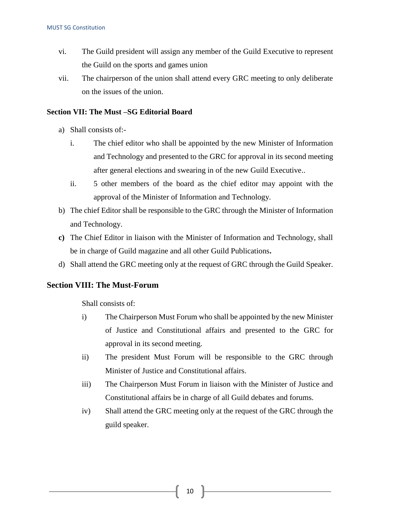- vi. The Guild president will assign any member of the Guild Executive to represent the Guild on the sports and games union
- vii. The chairperson of the union shall attend every GRC meeting to only deliberate on the issues of the union.

### <span id="page-10-0"></span>**Section VII: The Must –SG Editorial Board**

- a) Shall consists of:
	- i. The chief editor who shall be appointed by the new Minister of Information and Technology and presented to the GRC for approval in its second meeting after general elections and swearing in of the new Guild Executive..
	- ii. 5 other members of the board as the chief editor may appoint with the approval of the Minister of Information and Technology.
- b) The chief Editor shall be responsible to the GRC through the Minister of Information and Technology.
- **c)** The Chief Editor in liaison with the Minister of Information and Technology, shall be in charge of Guild magazine and all other Guild Publications**.**
- d) Shall attend the GRC meeting only at the request of GRC through the Guild Speaker.

### <span id="page-10-1"></span>**Section VIII: The Must-Forum**

Shall consists of:

- i) The Chairperson Must Forum who shall be appointed by the new Minister of Justice and Constitutional affairs and presented to the GRC for approval in its second meeting.
- ii) The president Must Forum will be responsible to the GRC through Minister of Justice and Constitutional affairs.
- iii) The Chairperson Must Forum in liaison with the Minister of Justice and Constitutional affairs be in charge of all Guild debates and forums.
- iv) Shall attend the GRC meeting only at the request of the GRC through the guild speaker.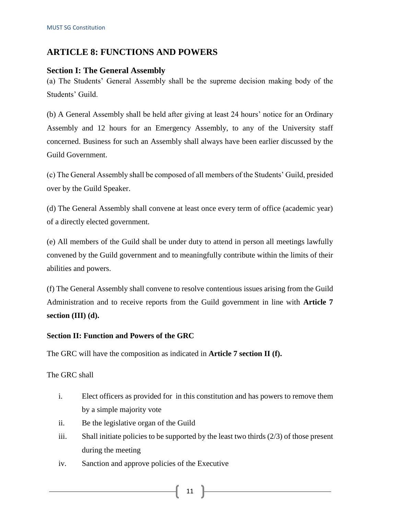# <span id="page-11-0"></span>**ARTICLE 8: FUNCTIONS AND POWERS**

# <span id="page-11-1"></span>**Section I: The General Assembly**

(a) The Students' General Assembly shall be the supreme decision making body of the Students' Guild.

(b) A General Assembly shall be held after giving at least 24 hours' notice for an Ordinary Assembly and 12 hours for an Emergency Assembly, to any of the University staff concerned. Business for such an Assembly shall always have been earlier discussed by the Guild Government.

(c) The General Assembly shall be composed of all members of the Students' Guild, presided over by the Guild Speaker.

(d) The General Assembly shall convene at least once every term of office (academic year) of a directly elected government.

(e) All members of the Guild shall be under duty to attend in person all meetings lawfully convened by the Guild government and to meaningfully contribute within the limits of their abilities and powers.

(f) The General Assembly shall convene to resolve contentious issues arising from the Guild Administration and to receive reports from the Guild government in line with **Article 7 section (III) (d).**

# <span id="page-11-2"></span>**Section II: Function and Powers of the GRC**

The GRC will have the composition as indicated in **Article 7 section II (f).**

The GRC shall

- i. Elect officers as provided for in this constitution and has powers to remove them by a simple majority vote
- ii. Be the legislative organ of the Guild
- iii. Shall initiate policies to be supported by the least two thirds  $(2/3)$  of those present during the meeting
- iv. Sanction and approve policies of the Executive
	- $11$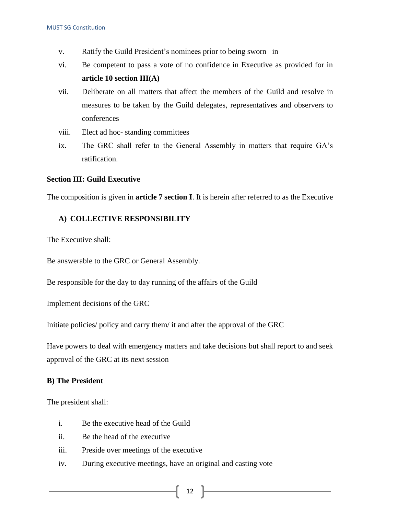- v. Ratify the Guild President's nominees prior to being sworn –in
- vi. Be competent to pass a vote of no confidence in Executive as provided for in **article 10 section III(A)**
- vii. Deliberate on all matters that affect the members of the Guild and resolve in measures to be taken by the Guild delegates, representatives and observers to conferences
- viii. Elect ad hoc- standing committees
- ix. The GRC shall refer to the General Assembly in matters that require GA's ratification.

### <span id="page-12-0"></span>**Section III: Guild Executive**

The composition is given in **article 7 section I**. It is herein after referred to as the Executive

### **A) COLLECTIVE RESPONSIBILITY**

The Executive shall:

Be answerable to the GRC or General Assembly.

Be responsible for the day to day running of the affairs of the Guild

Implement decisions of the GRC

Initiate policies/ policy and carry them/ it and after the approval of the GRC

Have powers to deal with emergency matters and take decisions but shall report to and seek approval of the GRC at its next session

### **B) The President**

The president shall:

- i. Be the executive head of the Guild
- ii. Be the head of the executive
- iii. Preside over meetings of the executive
- iv. During executive meetings, have an original and casting vote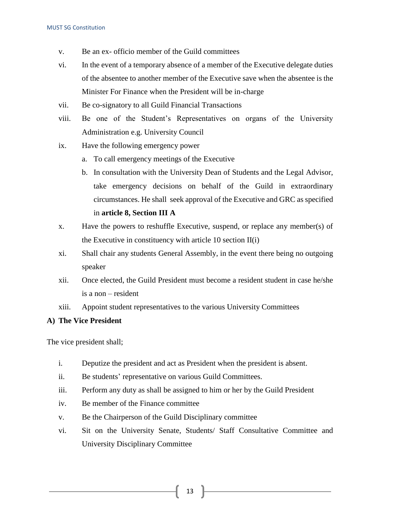- v. Be an ex- officio member of the Guild committees
- vi. In the event of a temporary absence of a member of the Executive delegate duties of the absentee to another member of the Executive save when the absentee is the Minister For Finance when the President will be in-charge
- vii. Be co-signatory to all Guild Financial Transactions
- viii. Be one of the Student's Representatives on organs of the University Administration e.g. University Council
- ix. Have the following emergency power
	- a. To call emergency meetings of the Executive
	- b. In consultation with the University Dean of Students and the Legal Advisor, take emergency decisions on behalf of the Guild in extraordinary circumstances. He shall seek approval of the Executive and GRC as specified in **article 8, Section III A**
- x. Have the powers to reshuffle Executive, suspend, or replace any member(s) of the Executive in constituency with article 10 section II(i)
- xi. Shall chair any students General Assembly, in the event there being no outgoing speaker
- xii. Once elected, the Guild President must become a resident student in case he/she is a non – resident
- xiii. Appoint student representatives to the various University Committees

#### **A) The Vice President**

The vice president shall;

- i. Deputize the president and act as President when the president is absent.
- ii. Be students' representative on various Guild Committees.
- iii. Perform any duty as shall be assigned to him or her by the Guild President
- iv. Be member of the Finance committee
- v. Be the Chairperson of the Guild Disciplinary committee
- vi. Sit on the University Senate, Students/ Staff Consultative Committee and University Disciplinary Committee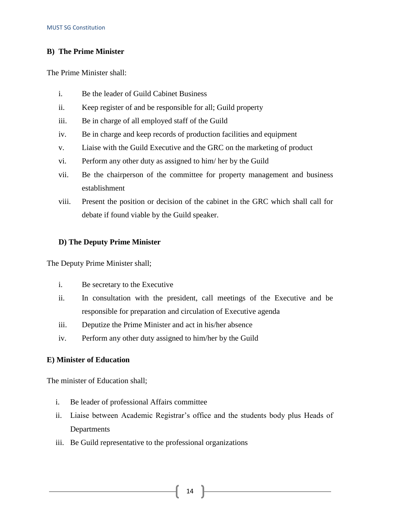## **B) The Prime Minister**

The Prime Minister shall:

- i. Be the leader of Guild Cabinet Business
- ii. Keep register of and be responsible for all; Guild property
- iii. Be in charge of all employed staff of the Guild
- iv. Be in charge and keep records of production facilities and equipment
- v. Liaise with the Guild Executive and the GRC on the marketing of product
- vi. Perform any other duty as assigned to him/ her by the Guild
- vii. Be the chairperson of the committee for property management and business establishment
- viii. Present the position or decision of the cabinet in the GRC which shall call for debate if found viable by the Guild speaker.

### **D) The Deputy Prime Minister**

The Deputy Prime Minister shall;

- i. Be secretary to the Executive
- ii. In consultation with the president, call meetings of the Executive and be responsible for preparation and circulation of Executive agenda
- iii. Deputize the Prime Minister and act in his/her absence
- iv. Perform any other duty assigned to him/her by the Guild

### **E) Minister of Education**

The minister of Education shall;

- i. Be leader of professional Affairs committee
- ii. Liaise between Academic Registrar's office and the students body plus Heads of Departments
- iii. Be Guild representative to the professional organizations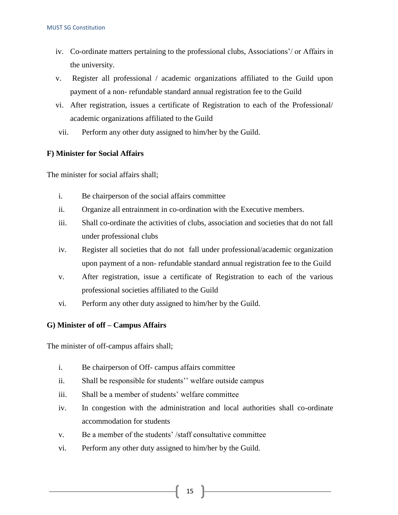- iv. Co-ordinate matters pertaining to the professional clubs, Associations'/ or Affairs in the university.
- v. Register all professional / academic organizations affiliated to the Guild upon payment of a non- refundable standard annual registration fee to the Guild
- vi. After registration, issues a certificate of Registration to each of the Professional/ academic organizations affiliated to the Guild
- vii. Perform any other duty assigned to him/her by the Guild.

### **F) Minister for Social Affairs**

The minister for social affairs shall;

- i. Be chairperson of the social affairs committee
- ii. Organize all entrainment in co-ordination with the Executive members.
- iii. Shall co-ordinate the activities of clubs, association and societies that do not fall under professional clubs
- iv. Register all societies that do not fall under professional/academic organization upon payment of a non- refundable standard annual registration fee to the Guild
- v. After registration, issue a certificate of Registration to each of the various professional societies affiliated to the Guild
- vi. Perform any other duty assigned to him/her by the Guild.

# **G) Minister of off – Campus Affairs**

The minister of off-campus affairs shall;

- i. Be chairperson of Off- campus affairs committee
- ii. Shall be responsible for students'' welfare outside campus
- iii. Shall be a member of students' welfare committee
- iv. In congestion with the administration and local authorities shall co-ordinate accommodation for students
- v. Be a member of the students' /staff consultative committee
- vi. Perform any other duty assigned to him/her by the Guild.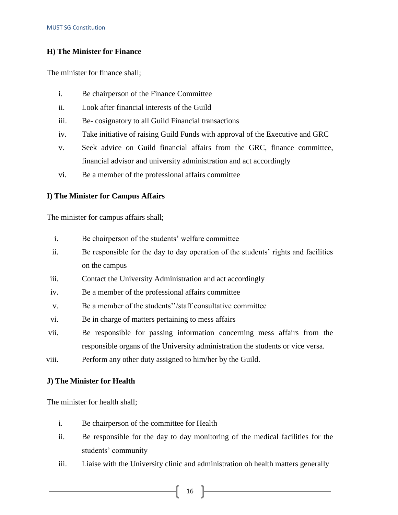# **H) The Minister for Finance**

The minister for finance shall;

- i. Be chairperson of the Finance Committee
- ii. Look after financial interests of the Guild
- iii. Be- cosignatory to all Guild Financial transactions
- iv. Take initiative of raising Guild Funds with approval of the Executive and GRC
- v. Seek advice on Guild financial affairs from the GRC, finance committee, financial advisor and university administration and act accordingly
- vi. Be a member of the professional affairs committee

### **I) The Minister for Campus Affairs**

The minister for campus affairs shall;

- i. Be chairperson of the students' welfare committee
- ii. Be responsible for the day to day operation of the students' rights and facilities on the campus
- iii. Contact the University Administration and act accordingly
- iv. Be a member of the professional affairs committee
- v. Be a member of the students''/staff consultative committee
- vi. Be in charge of matters pertaining to mess affairs
- vii. Be responsible for passing information concerning mess affairs from the responsible organs of the University administration the students or vice versa.
- viii. Perform any other duty assigned to him/her by the Guild.

# **J) The Minister for Health**

The minister for health shall;

- i. Be chairperson of the committee for Health
- ii. Be responsible for the day to day monitoring of the medical facilities for the students' community
- iii. Liaise with the University clinic and administration oh health matters generally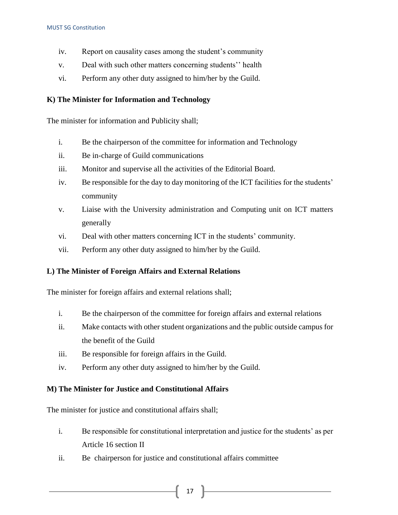- iv. Report on causality cases among the student's community
- v. Deal with such other matters concerning students'' health
- vi. Perform any other duty assigned to him/her by the Guild.

### **K) The Minister for Information and Technology**

The minister for information and Publicity shall;

- i. Be the chairperson of the committee for information and Technology
- ii. Be in-charge of Guild communications
- iii. Monitor and supervise all the activities of the Editorial Board.
- iv. Be responsible for the day to day monitoring of the ICT facilities for the students' community
- v. Liaise with the University administration and Computing unit on ICT matters generally
- vi. Deal with other matters concerning ICT in the students' community.
- vii. Perform any other duty assigned to him/her by the Guild.

### **L) The Minister of Foreign Affairs and External Relations**

The minister for foreign affairs and external relations shall;

- i. Be the chairperson of the committee for foreign affairs and external relations
- ii. Make contacts with other student organizations and the public outside campus for the benefit of the Guild
- iii. Be responsible for foreign affairs in the Guild.
- iv. Perform any other duty assigned to him/her by the Guild.

### **M) The Minister for Justice and Constitutional Affairs**

The minister for justice and constitutional affairs shall;

- i. Be responsible for constitutional interpretation and justice for the students' as per Article 16 section II
- ii. Be chairperson for justice and constitutional affairs committee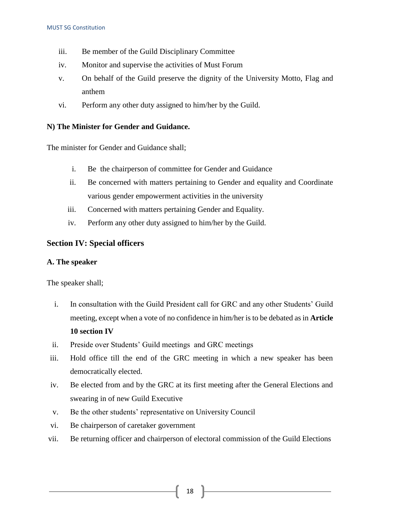- iii. Be member of the Guild Disciplinary Committee
- iv. Monitor and supervise the activities of Must Forum
- v. On behalf of the Guild preserve the dignity of the University Motto, Flag and anthem
- vi. Perform any other duty assigned to him/her by the Guild.

### **N) The Minister for Gender and Guidance.**

The minister for Gender and Guidance shall;

- i. Be the chairperson of committee for Gender and Guidance
- ii. Be concerned with matters pertaining to Gender and equality and Coordinate various gender empowerment activities in the university
- iii. Concerned with matters pertaining Gender and Equality.
- iv. Perform any other duty assigned to him/her by the Guild.

# <span id="page-18-0"></span>**Section IV: Special officers**

### **A. The speaker**

The speaker shall;

- i. In consultation with the Guild President call for GRC and any other Students' Guild meeting, except when a vote of no confidence in him/her is to be debated as in **Article 10 section IV**
- ii. Preside over Students' Guild meetings and GRC meetings
- iii. Hold office till the end of the GRC meeting in which a new speaker has been democratically elected.
- iv. Be elected from and by the GRC at its first meeting after the General Elections and swearing in of new Guild Executive
- v. Be the other students' representative on University Council
- vi. Be chairperson of caretaker government
- vii. Be returning officer and chairperson of electoral commission of the Guild Elections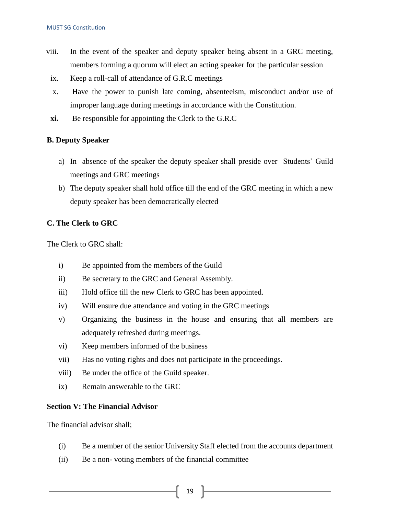- viii. In the event of the speaker and deputy speaker being absent in a GRC meeting, members forming a quorum will elect an acting speaker for the particular session
- ix. Keep a roll-call of attendance of G.R.C meetings
- x. Have the power to punish late coming, absenteeism, misconduct and/or use of improper language during meetings in accordance with the Constitution.
- **xi.** Be responsible for appointing the Clerk to the G.R.C

### **B. Deputy Speaker**

- a) In absence of the speaker the deputy speaker shall preside over Students' Guild meetings and GRC meetings
- b) The deputy speaker shall hold office till the end of the GRC meeting in which a new deputy speaker has been democratically elected

### **C. The Clerk to GRC**

The Clerk to GRC shall:

- i) Be appointed from the members of the Guild
- ii) Be secretary to the GRC and General Assembly.
- iii) Hold office till the new Clerk to GRC has been appointed.
- iv) Will ensure due attendance and voting in the GRC meetings
- v) Organizing the business in the house and ensuring that all members are adequately refreshed during meetings.
- vi) Keep members informed of the business
- vii) Has no voting rights and does not participate in the proceedings.
- viii) Be under the office of the Guild speaker.
- ix) Remain answerable to the GRC

### <span id="page-19-0"></span>**Section V: The Financial Advisor**

The financial advisor shall;

- (i) Be a member of the senior University Staff elected from the accounts department
- (ii) Be a non- voting members of the financial committee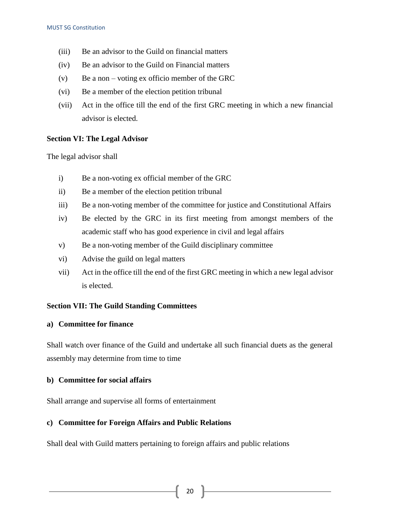- (iii) Be an advisor to the Guild on financial matters
- (iv) Be an advisor to the Guild on Financial matters
- (v) Be a non voting ex officio member of the GRC
- (vi) Be a member of the election petition tribunal
- (vii) Act in the office till the end of the first GRC meeting in which a new financial advisor is elected.

### <span id="page-20-0"></span>**Section VI: The Legal Advisor**

The legal advisor shall

- i) Be a non-voting ex official member of the GRC
- ii) Be a member of the election petition tribunal
- iii) Be a non-voting member of the committee for justice and Constitutional Affairs
- iv) Be elected by the GRC in its first meeting from amongst members of the academic staff who has good experience in civil and legal affairs
- v) Be a non-voting member of the Guild disciplinary committee
- vi) Advise the guild on legal matters
- vii) Act in the office till the end of the first GRC meeting in which a new legal advisor is elected.

# <span id="page-20-1"></span>**Section VII: The Guild Standing Committees**

### **a) Committee for finance**

Shall watch over finance of the Guild and undertake all such financial duets as the general assembly may determine from time to time

# **b) Committee for social affairs**

Shall arrange and supervise all forms of entertainment

# **c) Committee for Foreign Affairs and Public Relations**

Shall deal with Guild matters pertaining to foreign affairs and public relations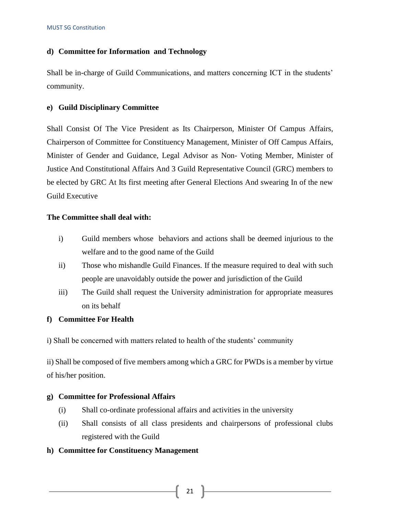## **d) Committee for Information and Technology**

Shall be in-charge of Guild Communications, and matters concerning ICT in the students' community.

### **e) Guild Disciplinary Committee**

Shall Consist Of The Vice President as Its Chairperson, Minister Of Campus Affairs, Chairperson of Committee for Constituency Management, Minister of Off Campus Affairs, Minister of Gender and Guidance, Legal Advisor as Non- Voting Member, Minister of Justice And Constitutional Affairs And 3 Guild Representative Council (GRC) members to be elected by GRC At Its first meeting after General Elections And swearing In of the new Guild Executive

### **The Committee shall deal with:**

- i) Guild members whose behaviors and actions shall be deemed injurious to the welfare and to the good name of the Guild
- ii) Those who mishandle Guild Finances. If the measure required to deal with such people are unavoidably outside the power and jurisdiction of the Guild
- iii) The Guild shall request the University administration for appropriate measures on its behalf

### **f) Committee For Health**

i) Shall be concerned with matters related to health of the students' community

ii) Shall be composed of five members among which a GRC for PWDs is a member by virtue of his/her position.

# **g) Committee for Professional Affairs**

- (i) Shall co-ordinate professional affairs and activities in the university
- (ii) Shall consists of all class presidents and chairpersons of professional clubs registered with the Guild

### **h) Committee for Constituency Management**

 $21$  }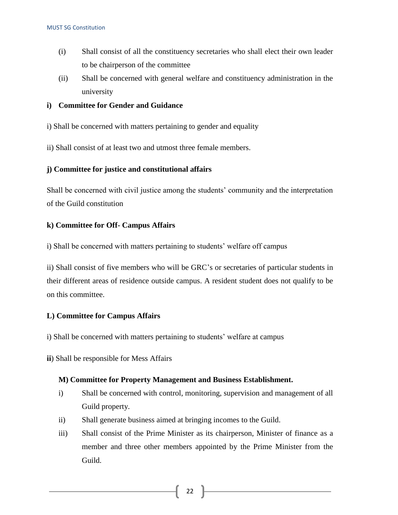- (i) Shall consist of all the constituency secretaries who shall elect their own leader to be chairperson of the committee
- (ii) Shall be concerned with general welfare and constituency administration in the university

### **i) Committee for Gender and Guidance**

- i) Shall be concerned with matters pertaining to gender and equality
- ii) Shall consist of at least two and utmost three female members.

### **j) Committee for justice and constitutional affairs**

Shall be concerned with civil justice among the students' community and the interpretation of the Guild constitution

### **k) Committee for Off- Campus Affairs**

i) Shall be concerned with matters pertaining to students' welfare off campus

ii) Shall consist of five members who will be GRC's or secretaries of particular students in their different areas of residence outside campus. A resident student does not qualify to be on this committee.

### **L) Committee for Campus Affairs**

i) Shall be concerned with matters pertaining to students' welfare at campus

**ii**) Shall be responsible for Mess Affairs

### **M) Committee for Property Management and Business Establishment.**

- i) Shall be concerned with control, monitoring, supervision and management of all Guild property.
- ii) Shall generate business aimed at bringing incomes to the Guild.
- iii) Shall consist of the Prime Minister as its chairperson, Minister of finance as a member and three other members appointed by the Prime Minister from the Guild.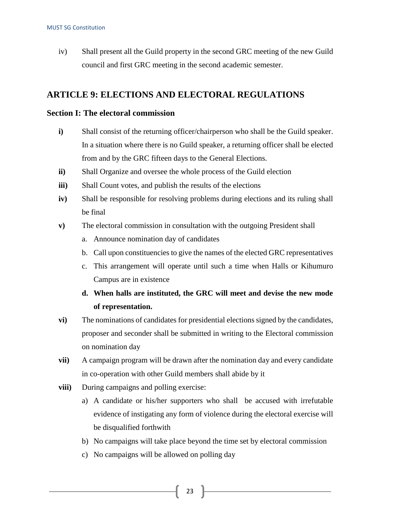iv) Shall present all the Guild property in the second GRC meeting of the new Guild council and first GRC meeting in the second academic semester.

# <span id="page-23-0"></span>**ARTICLE 9: ELECTIONS AND ELECTORAL REGULATIONS**

# <span id="page-23-1"></span>**Section I: The electoral commission**

- **i**) Shall consist of the returning officer/chairperson who shall be the Guild speaker. In a situation where there is no Guild speaker, a returning officer shall be elected from and by the GRC fifteen days to the General Elections.
- **ii)** Shall Organize and oversee the whole process of the Guild election
- **iii)** Shall Count votes, and publish the results of the elections
- **iv)** Shall be responsible for resolving problems during elections and its ruling shall be final
- **v)** The electoral commission in consultation with the outgoing President shall
	- a. Announce nomination day of candidates
	- b. Call upon constituencies to give the names of the elected GRC representatives
	- c. This arrangement will operate until such a time when Halls or Kihumuro Campus are in existence
	- **d. When halls are instituted, the GRC will meet and devise the new mode of representation.**
- **vi)** The nominations of candidates for presidential elections signed by the candidates, proposer and seconder shall be submitted in writing to the Electoral commission on nomination day
- **vii)** A campaign program will be drawn after the nomination day and every candidate in co-operation with other Guild members shall abide by it
- **viii)** During campaigns and polling exercise:
	- a) A candidate or his/her supporters who shall be accused with irrefutable evidence of instigating any form of violence during the electoral exercise will be disqualified forthwith
	- b) No campaigns will take place beyond the time set by electoral commission
	- c) No campaigns will be allowed on polling day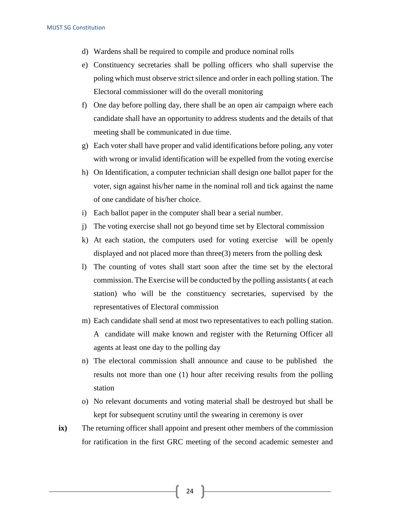- d) Wardens shall be required to compile and produce nominal rolls
- e) Constituency secretaries shall be polling officers who shall supervise the poling which must observe strict silence and order in each polling station. The Electoral commissioner will do the overall monitoring
- f) One day before polling day, there shall be an open air campaign where each candidate shall have an opportunity to address students and the details of that meeting shall be communicated in due time.
- g) Each voter shall have proper and valid identifications before poling, any voter with wrong or invalid identification will be expelled from the voting exercise
- h) On Identification, a computer technician shall design one ballot paper for the voter, sign against his/her name in the nominal roll and tick against the name of one candidate of his/her choice.
- i) Each ballot paper in the computer shall bear a serial number.
- j) The voting exercise shall not go beyond time set by Electoral commission
- k) At each station, the computers used for voting exercise will be openly displayed and not placed more than three(3) meters from the polling desk
- l) The counting of votes shall start soon after the time set by the electoral commission. The Exercise will be conducted by the polling assistants ( at each station) who will be the constituency secretaries, supervised by the representatives of Electoral commission
- m) Each candidate shall send at most two representatives to each polling station. A candidate will make known and register with the Returning Officer all agents at least one day to the polling day
- n) The electoral commission shall announce and cause to be published the results not more than one (1) hour after receiving results from the polling station
- o) No relevant documents and voting material shall be destroyed but shall be kept for subsequent scrutiny until the swearing in ceremony is over
- **ix)** The returning officer shall appoint and present other members of the commission for ratification in the first GRC meeting of the second academic semester and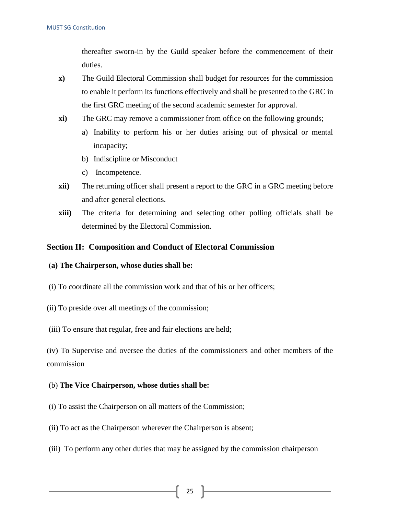thereafter sworn-in by the Guild speaker before the commencement of their duties.

- **x)** The Guild Electoral Commission shall budget for resources for the commission to enable it perform its functions effectively and shall be presented to the GRC in the first GRC meeting of the second academic semester for approval.
- **xi)** The GRC may remove a commissioner from office on the following grounds;
	- a) Inability to perform his or her duties arising out of physical or mental incapacity;
	- b) Indiscipline or Misconduct
	- c) Incompetence.
- **xii)** The returning officer shall present a report to the GRC in a GRC meeting before and after general elections.
- **xiii)** The criteria for determining and selecting other polling officials shall be determined by the Electoral Commission.

# <span id="page-25-0"></span>**Section II: Composition and Conduct of Electoral Commission**

### (**a) The Chairperson, whose duties shall be:**

- (i) To coordinate all the commission work and that of his or her officers;
- (ii) To preside over all meetings of the commission;
- (iii) To ensure that regular, free and fair elections are held;

(iv) To Supervise and oversee the duties of the commissioners and other members of the commission

### (b) **The Vice Chairperson, whose duties shall be:**

- (i) To assist the Chairperson on all matters of the Commission;
- (ii) To act as the Chairperson wherever the Chairperson is absent;
- (iii) To perform any other duties that may be assigned by the commission chairperson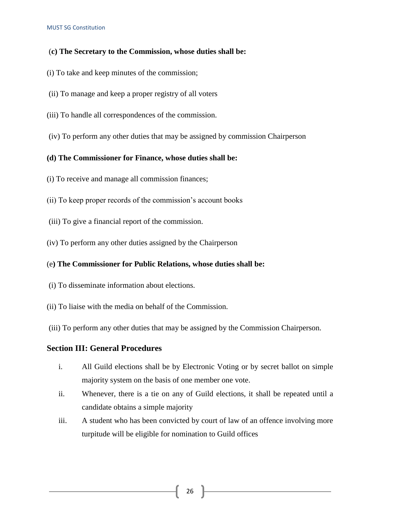MUST SG Constitution

#### (**c) The Secretary to the Commission, whose duties shall be:**

- (i) To take and keep minutes of the commission;
- (ii) To manage and keep a proper registry of all voters
- (iii) To handle all correspondences of the commission.
- (iv) To perform any other duties that may be assigned by commission Chairperson

### **(d) The Commissioner for Finance, whose duties shall be:**

- (i) To receive and manage all commission finances;
- (ii) To keep proper records of the commission's account books
- (iii) To give a financial report of the commission.
- (iv) To perform any other duties assigned by the Chairperson

#### (e**) The Commissioner for Public Relations, whose duties shall be:**

- (i) To disseminate information about elections.
- (ii) To liaise with the media on behalf of the Commission.
- (iii) To perform any other duties that may be assigned by the Commission Chairperson.

# <span id="page-26-0"></span>**Section III: General Procedures**

- i. All Guild elections shall be by Electronic Voting or by secret ballot on simple majority system on the basis of one member one vote.
- ii. Whenever, there is a tie on any of Guild elections, it shall be repeated until a candidate obtains a simple majority
- iii. A student who has been convicted by court of law of an offence involving more turpitude will be eligible for nomination to Guild offices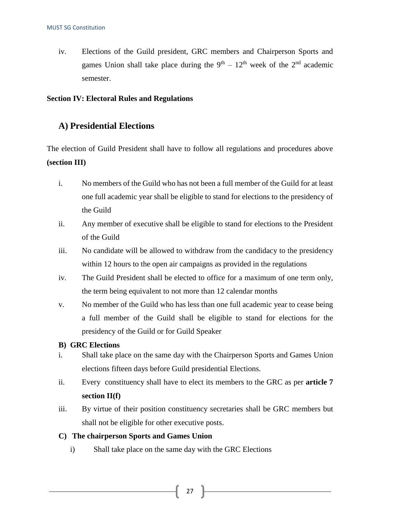iv. Elections of the Guild president, GRC members and Chairperson Sports and games Union shall take place during the  $9<sup>th</sup> - 12<sup>th</sup>$  week of the  $2<sup>nd</sup>$  academic semester.

### <span id="page-27-0"></span>**Section IV: Electoral Rules and Regulations**

# **A) Presidential Elections**

The election of Guild President shall have to follow all regulations and procedures above **(section III)**

- i. No members of the Guild who has not been a full member of the Guild for at least one full academic year shall be eligible to stand for elections to the presidency of the Guild
- ii. Any member of executive shall be eligible to stand for elections to the President of the Guild
- iii. No candidate will be allowed to withdraw from the candidacy to the presidency within 12 hours to the open air campaigns as provided in the regulations
- iv. The Guild President shall be elected to office for a maximum of one term only, the term being equivalent to not more than 12 calendar months
- v. No member of the Guild who has less than one full academic year to cease being a full member of the Guild shall be eligible to stand for elections for the presidency of the Guild or for Guild Speaker

# **B) GRC Elections**

- i. Shall take place on the same day with the Chairperson Sports and Games Union elections fifteen days before Guild presidential Elections.
- ii. Every constituency shall have to elect its members to the GRC as per **article 7 section II(f)**
- iii. By virtue of their position constituency secretaries shall be GRC members but shall not be eligible for other executive posts.

### **C) The chairperson Sports and Games Union**

i) Shall take place on the same day with the GRC Elections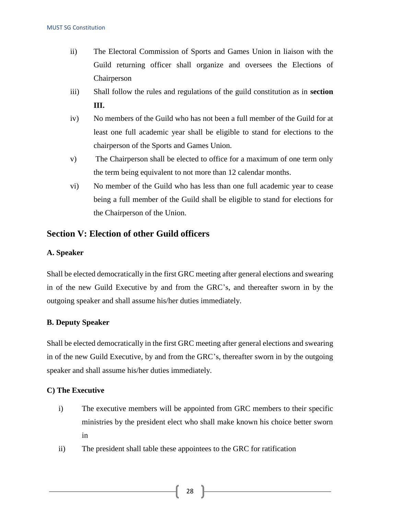- ii) The Electoral Commission of Sports and Games Union in liaison with the Guild returning officer shall organize and oversees the Elections of Chairperson
- iii) Shall follow the rules and regulations of the guild constitution as in **section III.**
- iv) No members of the Guild who has not been a full member of the Guild for at least one full academic year shall be eligible to stand for elections to the chairperson of the Sports and Games Union.
- v) The Chairperson shall be elected to office for a maximum of one term only the term being equivalent to not more than 12 calendar months.
- vi) No member of the Guild who has less than one full academic year to cease being a full member of the Guild shall be eligible to stand for elections for the Chairperson of the Union.

# <span id="page-28-0"></span>**Section V: Election of other Guild officers**

# **A. Speaker**

Shall be elected democratically in the first GRC meeting after general elections and swearing in of the new Guild Executive by and from the GRC's, and thereafter sworn in by the outgoing speaker and shall assume his/her duties immediately.

# **B. Deputy Speaker**

Shall be elected democratically in the first GRC meeting after general elections and swearing in of the new Guild Executive, by and from the GRC's, thereafter sworn in by the outgoing speaker and shall assume his/her duties immediately.

# **C) The Executive**

- i) The executive members will be appointed from GRC members to their specific ministries by the president elect who shall make known his choice better sworn in
- ii) The president shall table these appointees to the GRC for ratification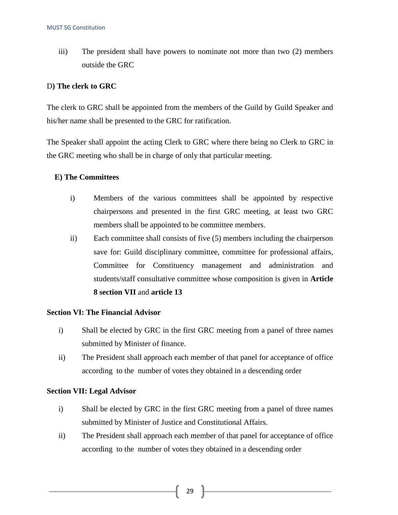iii) The president shall have powers to nominate not more than two (2) members outside the GRC

### D**) The clerk to GRC**

The clerk to GRC shall be appointed from the members of the Guild by Guild Speaker and his/her name shall be presented to the GRC for ratification.

The Speaker shall appoint the acting Clerk to GRC where there being no Clerk to GRC in the GRC meeting who shall be in charge of only that particular meeting.

### **E) The Committees**

- i) Members of the various committees shall be appointed by respective chairpersons and presented in the first GRC meeting, at least two GRC members shall be appointed to be committee members.
- ii) Each committee shall consists of five (5) members including the chairperson save for: Guild disciplinary committee, committee for professional affairs, Committee for Constituency management and administration and students/staff consultative committee whose composition is given in **Article 8 section VII** and **article 13**

### <span id="page-29-0"></span>**Section VI: The Financial Advisor**

- i) Shall be elected by GRC in the first GRC meeting from a panel of three names submitted by Minister of finance.
- ii) The President shall approach each member of that panel for acceptance of office according to the number of votes they obtained in a descending order

### <span id="page-29-1"></span>**Section VII: Legal Advisor**

- i) Shall be elected by GRC in the first GRC meeting from a panel of three names submitted by Minister of Justice and Constitutional Affairs.
- ii) The President shall approach each member of that panel for acceptance of office according to the number of votes they obtained in a descending order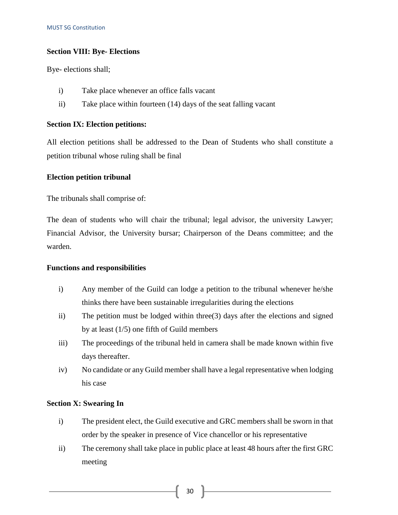### <span id="page-30-0"></span>**Section VIII: Bye- Elections**

Bye- elections shall;

- i) Take place whenever an office falls vacant
- ii) Take place within fourteen (14) days of the seat falling vacant

### <span id="page-30-1"></span>**Section IX: Election petitions:**

All election petitions shall be addressed to the Dean of Students who shall constitute a petition tribunal whose ruling shall be final

### **Election petition tribunal**

The tribunals shall comprise of:

The dean of students who will chair the tribunal; legal advisor, the university Lawyer; Financial Advisor, the University bursar; Chairperson of the Deans committee; and the warden.

### **Functions and responsibilities**

- i) Any member of the Guild can lodge a petition to the tribunal whenever he/she thinks there have been sustainable irregularities during the elections
- ii) The petition must be lodged within three(3) days after the elections and signed by at least (1/5) one fifth of Guild members
- iii) The proceedings of the tribunal held in camera shall be made known within five days thereafter.
- iv) No candidate or any Guild member shall have a legal representative when lodging his case

### <span id="page-30-2"></span>**Section X: Swearing In**

- i) The president elect, the Guild executive and GRC members shall be sworn in that order by the speaker in presence of Vice chancellor or his representative
- ii) The ceremony shall take place in public place at least 48 hours after the first GRC meeting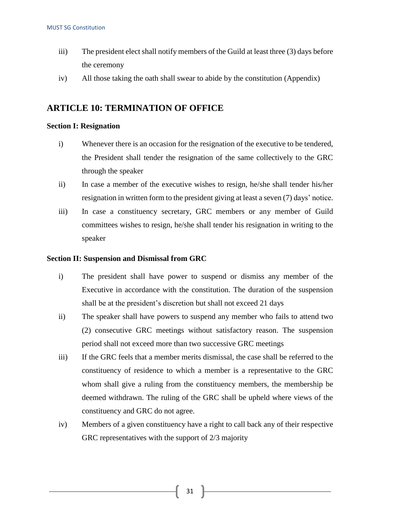- iii) The president elect shall notify members of the Guild at least three (3) days before the ceremony
- iv) All those taking the oath shall swear to abide by the constitution (Appendix)

# <span id="page-31-0"></span>**ARTICLE 10: TERMINATION OF OFFICE**

#### <span id="page-31-1"></span>**Section I: Resignation**

- i) Whenever there is an occasion for the resignation of the executive to be tendered, the President shall tender the resignation of the same collectively to the GRC through the speaker
- ii) In case a member of the executive wishes to resign, he/she shall tender his/her resignation in written form to the president giving at least a seven (7) days' notice.
- iii) In case a constituency secretary, GRC members or any member of Guild committees wishes to resign, he/she shall tender his resignation in writing to the speaker

### <span id="page-31-2"></span>**Section II: Suspension and Dismissal from GRC**

- i) The president shall have power to suspend or dismiss any member of the Executive in accordance with the constitution. The duration of the suspension shall be at the president's discretion but shall not exceed 21 days
- ii) The speaker shall have powers to suspend any member who fails to attend two (2) consecutive GRC meetings without satisfactory reason. The suspension period shall not exceed more than two successive GRC meetings
- iii) If the GRC feels that a member merits dismissal, the case shall be referred to the constituency of residence to which a member is a representative to the GRC whom shall give a ruling from the constituency members, the membership be deemed withdrawn. The ruling of the GRC shall be upheld where views of the constituency and GRC do not agree.
- iv) Members of a given constituency have a right to call back any of their respective GRC representatives with the support of 2/3 majority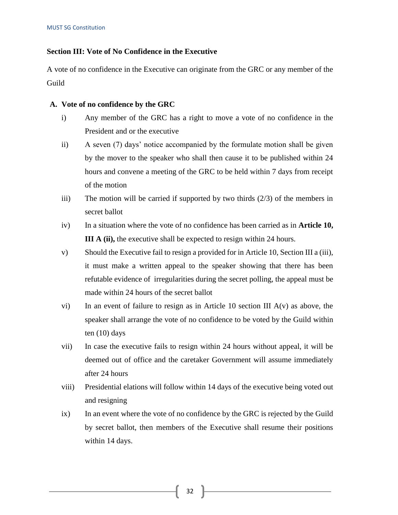# <span id="page-32-0"></span>**Section III: Vote of No Confidence in the Executive**

A vote of no confidence in the Executive can originate from the GRC or any member of the Guild

### **A. Vote of no confidence by the GRC**

- i) Any member of the GRC has a right to move a vote of no confidence in the President and or the executive
- ii) A seven (7) days' notice accompanied by the formulate motion shall be given by the mover to the speaker who shall then cause it to be published within 24 hours and convene a meeting of the GRC to be held within 7 days from receipt of the motion
- iii) The motion will be carried if supported by two thirds  $(2/3)$  of the members in secret ballot
- iv) In a situation where the vote of no confidence has been carried as in **Article 10, III A (ii), the executive shall be expected to resign within 24 hours.**
- v) Should the Executive fail to resign a provided for in Article 10, Section III a (iii), it must make a written appeal to the speaker showing that there has been refutable evidence of irregularities during the secret polling, the appeal must be made within 24 hours of the secret ballot
- vi) In an event of failure to resign as in Article 10 section III  $A(v)$  as above, the speaker shall arrange the vote of no confidence to be voted by the Guild within ten (10) days
- vii) In case the executive fails to resign within 24 hours without appeal, it will be deemed out of office and the caretaker Government will assume immediately after 24 hours
- viii) Presidential elations will follow within 14 days of the executive being voted out and resigning
- ix) In an event where the vote of no confidence by the GRC is rejected by the Guild by secret ballot, then members of the Executive shall resume their positions within 14 days.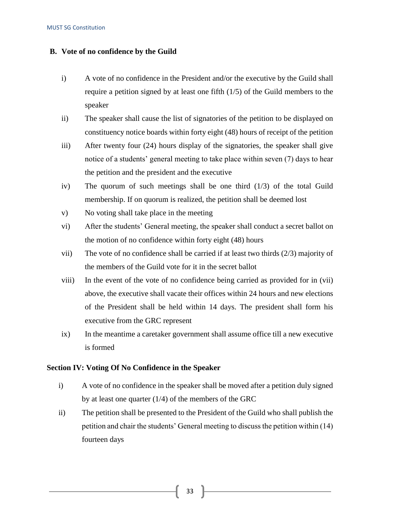## **B. Vote of no confidence by the Guild**

- i) A vote of no confidence in the President and/or the executive by the Guild shall require a petition signed by at least one fifth (1/5) of the Guild members to the speaker
- ii) The speaker shall cause the list of signatories of the petition to be displayed on constituency notice boards within forty eight (48) hours of receipt of the petition
- iii) After twenty four (24) hours display of the signatories, the speaker shall give notice of a students' general meeting to take place within seven (7) days to hear the petition and the president and the executive
- iv) The quorum of such meetings shall be one third (1/3) of the total Guild membership. If on quorum is realized, the petition shall be deemed lost
- v) No voting shall take place in the meeting
- vi) After the students' General meeting, the speaker shall conduct a secret ballot on the motion of no confidence within forty eight (48) hours
- vii) The vote of no confidence shall be carried if at least two thirds (2/3) majority of the members of the Guild vote for it in the secret ballot
- viii) In the event of the vote of no confidence being carried as provided for in (vii) above, the executive shall vacate their offices within 24 hours and new elections of the President shall be held within 14 days. The president shall form his executive from the GRC represent
- ix) In the meantime a caretaker government shall assume office till a new executive is formed

### <span id="page-33-0"></span>**Section IV: Voting Of No Confidence in the Speaker**

- i) A vote of no confidence in the speaker shall be moved after a petition duly signed by at least one quarter (1/4) of the members of the GRC
- ii) The petition shall be presented to the President of the Guild who shall publish the petition and chair the students' General meeting to discuss the petition within (14) fourteen days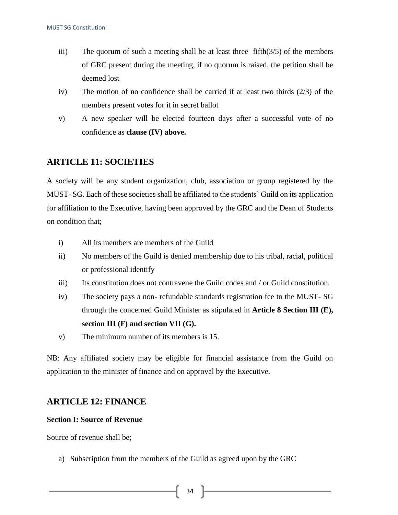- iii) The quorum of such a meeting shall be at least three  $fifth(3/5)$  of the members of GRC present during the meeting, if no quorum is raised, the petition shall be deemed lost
- iv) The motion of no confidence shall be carried if at least two thirds (2/3) of the members present votes for it in secret ballot
- v) A new speaker will be elected fourteen days after a successful vote of no confidence as **clause (IV) above.**

# <span id="page-34-0"></span>**ARTICLE 11: SOCIETIES**

A society will be any student organization, club, association or group registered by the MUST- SG. Each of these societies shall be affiliated to the students' Guild on its application for affiliation to the Executive, having been approved by the GRC and the Dean of Students on condition that;

- i) All its members are members of the Guild
- ii) No members of the Guild is denied membership due to his tribal, racial, political or professional identify
- $\delta$  Its constitution does not contravene the Guild codes and / or Guild constitution.
- iv) The society pays a non- refundable standards registration fee to the MUST- SG through the concerned Guild Minister as stipulated in **Article 8 Section III (E), section III (F) and section VII (G).**
- v) The minimum number of its members is 15.

NB: Any affiliated society may be eligible for financial assistance from the Guild on application to the minister of finance and on approval by the Executive.

# <span id="page-34-1"></span>**ARTICLE 12: FINANCE**

### <span id="page-34-2"></span>**Section I: Source of Revenue**

Source of revenue shall be;

a) Subscription from the members of the Guild as agreed upon by the GRC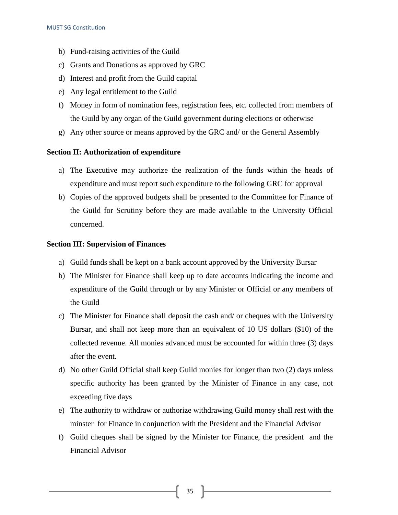- b) Fund-raising activities of the Guild
- c) Grants and Donations as approved by GRC
- d) Interest and profit from the Guild capital
- e) Any legal entitlement to the Guild
- f) Money in form of nomination fees, registration fees, etc. collected from members of the Guild by any organ of the Guild government during elections or otherwise
- g) Any other source or means approved by the GRC and/ or the General Assembly

#### <span id="page-35-0"></span>**Section II: Authorization of expenditure**

- a) The Executive may authorize the realization of the funds within the heads of expenditure and must report such expenditure to the following GRC for approval
- b) Copies of the approved budgets shall be presented to the Committee for Finance of the Guild for Scrutiny before they are made available to the University Official concerned.

#### <span id="page-35-1"></span>**Section III: Supervision of Finances**

- a) Guild funds shall be kept on a bank account approved by the University Bursar
- b) The Minister for Finance shall keep up to date accounts indicating the income and expenditure of the Guild through or by any Minister or Official or any members of the Guild
- c) The Minister for Finance shall deposit the cash and/ or cheques with the University Bursar, and shall not keep more than an equivalent of 10 US dollars (\$10) of the collected revenue. All monies advanced must be accounted for within three (3) days after the event.
- d) No other Guild Official shall keep Guild monies for longer than two (2) days unless specific authority has been granted by the Minister of Finance in any case, not exceeding five days
- e) The authority to withdraw or authorize withdrawing Guild money shall rest with the minster for Finance in conjunction with the President and the Financial Advisor
- f) Guild cheques shall be signed by the Minister for Finance, the president and the Financial Advisor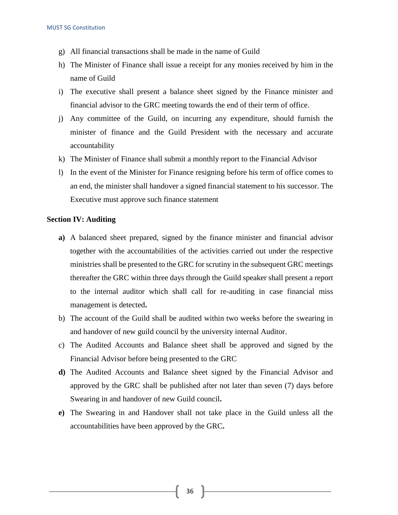- g) All financial transactions shall be made in the name of Guild
- h) The Minister of Finance shall issue a receipt for any monies received by him in the name of Guild
- i) The executive shall present a balance sheet signed by the Finance minister and financial advisor to the GRC meeting towards the end of their term of office.
- j) Any committee of the Guild, on incurring any expenditure, should furnish the minister of finance and the Guild President with the necessary and accurate accountability
- k) The Minister of Finance shall submit a monthly report to the Financial Advisor
- l) In the event of the Minister for Finance resigning before his term of office comes to an end, the minister shall handover a signed financial statement to his successor. The Executive must approve such finance statement

#### <span id="page-36-0"></span>**Section IV: Auditing**

- **a)** A balanced sheet prepared, signed by the finance minister and financial advisor together with the accountabilities of the activities carried out under the respective ministries shall be presented to the GRC for scrutiny in the subsequent GRC meetings thereafter the GRC within three days through the Guild speaker shall present a report to the internal auditor which shall call for re-auditing in case financial miss management is detected**.**
- b) The account of the Guild shall be audited within two weeks before the swearing in and handover of new guild council by the university internal Auditor.
- c) The Audited Accounts and Balance sheet shall be approved and signed by the Financial Advisor before being presented to the GRC
- **d)** The Audited Accounts and Balance sheet signed by the Financial Advisor and approved by the GRC shall be published after not later than seven (7) days before Swearing in and handover of new Guild council**.**
- **e)** The Swearing in and Handover shall not take place in the Guild unless all the accountabilities have been approved by the GRC**.**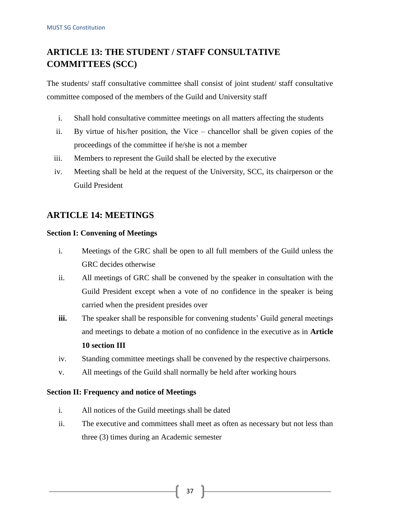# <span id="page-37-0"></span>**ARTICLE 13: THE STUDENT / STAFF CONSULTATIVE COMMITTEES (SCC)**

The students/ staff consultative committee shall consist of joint student/ staff consultative committee composed of the members of the Guild and University staff

- i. Shall hold consultative committee meetings on all matters affecting the students
- ii. By virtue of his/her position, the Vice chancellor shall be given copies of the proceedings of the committee if he/she is not a member
- iii. Members to represent the Guild shall be elected by the executive
- iv. Meeting shall be held at the request of the University, SCC, its chairperson or the Guild President

# <span id="page-37-1"></span>**ARTICLE 14: MEETINGS**

### <span id="page-37-2"></span>**Section I: Convening of Meetings**

- i. Meetings of the GRC shall be open to all full members of the Guild unless the GRC decides otherwise
- ii. All meetings of GRC shall be convened by the speaker in consultation with the Guild President except when a vote of no confidence in the speaker is being carried when the president presides over
- **iii.** The speaker shall be responsible for convening students' Guild general meetings and meetings to debate a motion of no confidence in the executive as in **Article 10 section III**
- iv. Standing committee meetings shall be convened by the respective chairpersons.
- v. All meetings of the Guild shall normally be held after working hours

### <span id="page-37-3"></span>**Section II: Frequency and notice of Meetings**

- i. All notices of the Guild meetings shall be dated
- ii. The executive and committees shall meet as often as necessary but not less than three (3) times during an Academic semester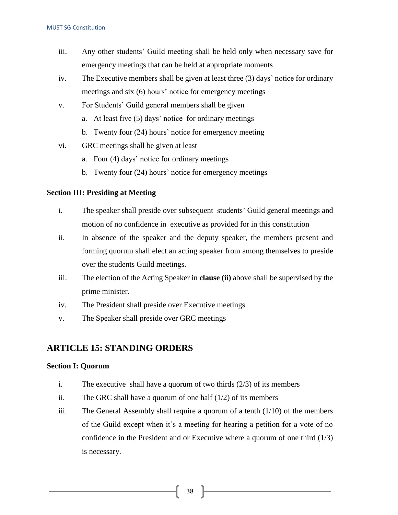- iii. Any other students' Guild meeting shall be held only when necessary save for emergency meetings that can be held at appropriate moments
- iv. The Executive members shall be given at least three (3) days' notice for ordinary meetings and six (6) hours' notice for emergency meetings
- v. For Students' Guild general members shall be given
	- a. At least five (5) days' notice for ordinary meetings
	- b. Twenty four (24) hours' notice for emergency meeting
- vi. GRC meetings shall be given at least
	- a. Four (4) days' notice for ordinary meetings
	- b. Twenty four (24) hours' notice for emergency meetings

### <span id="page-38-0"></span>**Section III: Presiding at Meeting**

- i. The speaker shall preside over subsequent students' Guild general meetings and motion of no confidence in executive as provided for in this constitution
- ii. In absence of the speaker and the deputy speaker, the members present and forming quorum shall elect an acting speaker from among themselves to preside over the students Guild meetings.
- iii. The election of the Acting Speaker in **clause (ii)** above shall be supervised by the prime minister.
- iv. The President shall preside over Executive meetings
- v. The Speaker shall preside over GRC meetings

# <span id="page-38-1"></span>**ARTICLE 15: STANDING ORDERS**

### <span id="page-38-2"></span>**Section I: Quorum**

- i. The executive shall have a quorum of two thirds  $(2/3)$  of its members
- ii. The GRC shall have a quorum of one half  $(1/2)$  of its members
- iii. The General Assembly shall require a quorum of a tenth (1/10) of the members of the Guild except when it's a meeting for hearing a petition for a vote of no confidence in the President and or Executive where a quorum of one third (1/3) is necessary.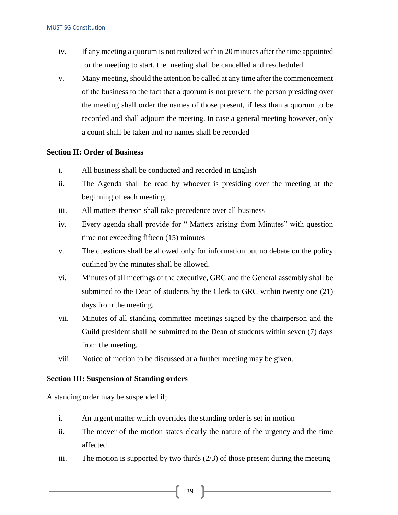- iv. If any meeting a quorum is not realized within 20 minutes after the time appointed for the meeting to start, the meeting shall be cancelled and rescheduled
- v. Many meeting, should the attention be called at any time after the commencement of the business to the fact that a quorum is not present, the person presiding over the meeting shall order the names of those present, if less than a quorum to be recorded and shall adjourn the meeting. In case a general meeting however, only a count shall be taken and no names shall be recorded

### <span id="page-39-0"></span>**Section II: Order of Business**

- i. All business shall be conducted and recorded in English
- ii. The Agenda shall be read by whoever is presiding over the meeting at the beginning of each meeting
- iii. All matters thereon shall take precedence over all business
- iv. Every agenda shall provide for " Matters arising from Minutes" with question time not exceeding fifteen (15) minutes
- v. The questions shall be allowed only for information but no debate on the policy outlined by the minutes shall be allowed.
- vi. Minutes of all meetings of the executive, GRC and the General assembly shall be submitted to the Dean of students by the Clerk to GRC within twenty one (21) days from the meeting.
- vii. Minutes of all standing committee meetings signed by the chairperson and the Guild president shall be submitted to the Dean of students within seven (7) days from the meeting.
- viii. Notice of motion to be discussed at a further meeting may be given.

### <span id="page-39-1"></span>**Section III: Suspension of Standing orders**

A standing order may be suspended if;

- i. An argent matter which overrides the standing order is set in motion
- ii. The mover of the motion states clearly the nature of the urgency and the time affected
- iii. The motion is supported by two thirds (2/3) of those present during the meeting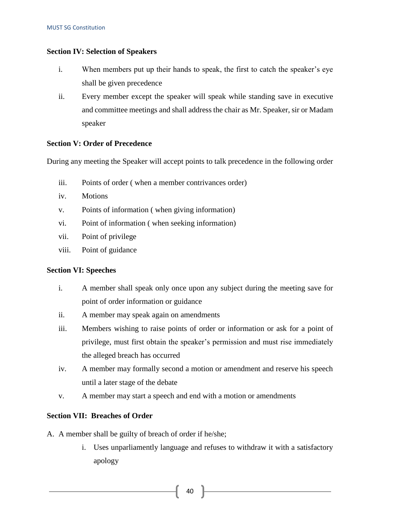### <span id="page-40-0"></span>**Section IV: Selection of Speakers**

- i. When members put up their hands to speak, the first to catch the speaker's eye shall be given precedence
- ii. Every member except the speaker will speak while standing save in executive and committee meetings and shall address the chair as Mr. Speaker, sir or Madam speaker

### <span id="page-40-1"></span>**Section V: Order of Precedence**

During any meeting the Speaker will accept points to talk precedence in the following order

- iii. Points of order ( when a member contrivances order)
- iv. Motions
- v. Points of information ( when giving information)
- vi. Point of information ( when seeking information)
- vii. Point of privilege
- viii. Point of guidance

### <span id="page-40-2"></span>**Section VI: Speeches**

- i. A member shall speak only once upon any subject during the meeting save for point of order information or guidance
- ii. A member may speak again on amendments
- iii. Members wishing to raise points of order or information or ask for a point of privilege, must first obtain the speaker's permission and must rise immediately the alleged breach has occurred
- iv. A member may formally second a motion or amendment and reserve his speech until a later stage of the debate
- v. A member may start a speech and end with a motion or amendments

# <span id="page-40-3"></span>**Section VII: Breaches of Order**

- A. A member shall be guilty of breach of order if he/she;
	- i. Uses unparliamently language and refuses to withdraw it with a satisfactory apology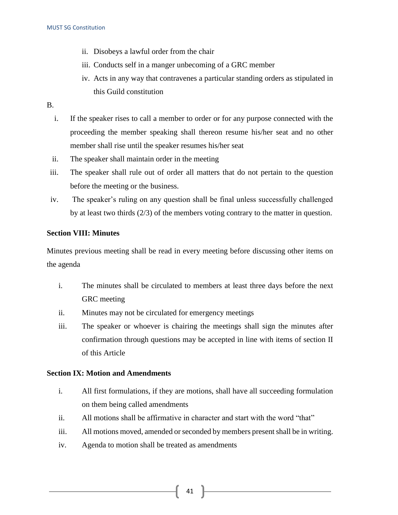- ii. Disobeys a lawful order from the chair
- iii. Conducts self in a manger unbecoming of a GRC member
- iv. Acts in any way that contravenes a particular standing orders as stipulated in this Guild constitution
- B.
	- i. If the speaker rises to call a member to order or for any purpose connected with the proceeding the member speaking shall thereon resume his/her seat and no other member shall rise until the speaker resumes his/her seat
	- ii. The speaker shall maintain order in the meeting
- iii. The speaker shall rule out of order all matters that do not pertain to the question before the meeting or the business.
- iv. The speaker's ruling on any question shall be final unless successfully challenged by at least two thirds (2/3) of the members voting contrary to the matter in question.

### <span id="page-41-0"></span>**Section VIII: Minutes**

Minutes previous meeting shall be read in every meeting before discussing other items on the agenda

- i. The minutes shall be circulated to members at least three days before the next GRC meeting
- ii. Minutes may not be circulated for emergency meetings
- iii. The speaker or whoever is chairing the meetings shall sign the minutes after confirmation through questions may be accepted in line with items of section II of this Article

# <span id="page-41-1"></span>**Section IX: Motion and Amendments**

- i. All first formulations, if they are motions, shall have all succeeding formulation on them being called amendments
- ii. All motions shall be affirmative in character and start with the word "that"
- iii. All motions moved, amended or seconded by members present shall be in writing.
- iv. Agenda to motion shall be treated as amendments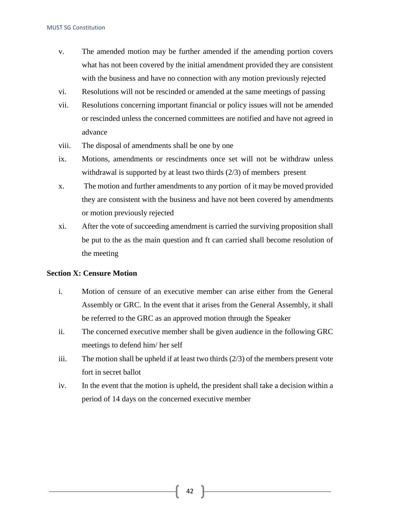- v. The amended motion may be further amended if the amending portion covers what has not been covered by the initial amendment provided they are consistent with the business and have no connection with any motion previously rejected
- vi. Resolutions will not be rescinded or amended at the same meetings of passing
- vii. Resolutions concerning important financial or policy issues will not be amended or rescinded unless the concerned committees are notified and have not agreed in advance
- viii. The disposal of amendments shall be one by one
- ix. Motions, amendments or rescindments once set will not be withdraw unless withdrawal is supported by at least two thirds (2/3) of members present
- x. The motion and further amendments to any portion of it may be moved provided they are consistent with the business and have not been covered by amendments or motion previously rejected
- xi. After the vote of succeeding amendment is carried the surviving proposition shall be put to the as the main question and ft can carried shall become resolution of the meeting

#### <span id="page-42-0"></span>**Section X: Censure Motion**

- i. Motion of censure of an executive member can arise either from the General Assembly or GRC. In the event that it arises from the General Assembly, it shall be referred to the GRC as an approved motion through the Speaker
- ii. The concerned executive member shall be given audience in the following GRC meetings to defend him/ her self
- iii. The motion shall be upheld if at least two thirds  $(2/3)$  of the members present vote fort in secret ballot
- iv. In the event that the motion is upheld, the president shall take a decision within a period of 14 days on the concerned executive member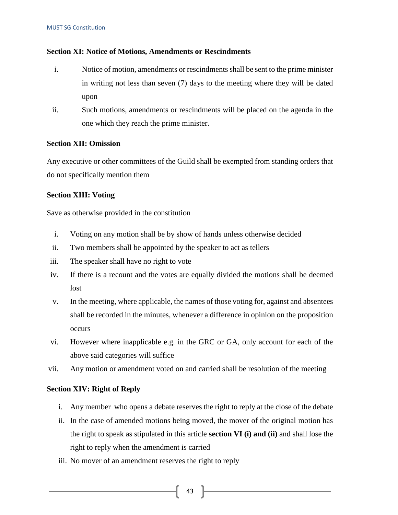### <span id="page-43-0"></span>**Section XI: Notice of Motions, Amendments or Rescindments**

- i. Notice of motion, amendments or rescindments shall be sent to the prime minister in writing not less than seven (7) days to the meeting where they will be dated upon
- ii. Such motions, amendments or rescindments will be placed on the agenda in the one which they reach the prime minister.

### <span id="page-43-1"></span>**Section XII: Omission**

Any executive or other committees of the Guild shall be exempted from standing orders that do not specifically mention them

### <span id="page-43-2"></span>**Section XIII: Voting**

Save as otherwise provided in the constitution

- i. Voting on any motion shall be by show of hands unless otherwise decided
- ii. Two members shall be appointed by the speaker to act as tellers
- iii. The speaker shall have no right to vote
- iv. If there is a recount and the votes are equally divided the motions shall be deemed lost
- v. In the meeting, where applicable, the names of those voting for, against and absentees shall be recorded in the minutes, whenever a difference in opinion on the proposition occurs
- vi. However where inapplicable e.g. in the GRC or GA, only account for each of the above said categories will suffice
- vii. Any motion or amendment voted on and carried shall be resolution of the meeting

### <span id="page-43-3"></span>**Section XIV: Right of Reply**

- i. Any member who opens a debate reserves the right to reply at the close of the debate
- ii. In the case of amended motions being moved, the mover of the original motion has the right to speak as stipulated in this article **section VI (i) and (ii)** and shall lose the right to reply when the amendment is carried
- iii. No mover of an amendment reserves the right to reply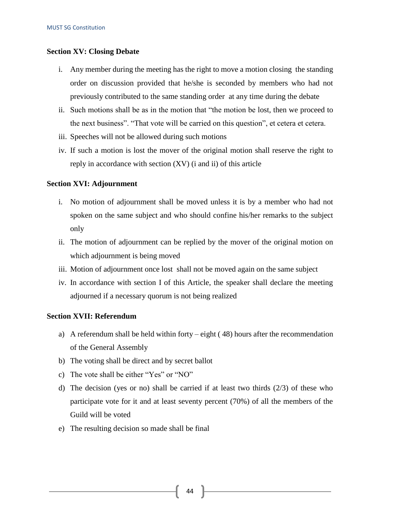#### <span id="page-44-0"></span>**Section XV: Closing Debate**

- i. Any member during the meeting has the right to move a motion closing the standing order on discussion provided that he/she is seconded by members who had not previously contributed to the same standing order at any time during the debate
- ii. Such motions shall be as in the motion that "the motion be lost, then we proceed to the next business". "That vote will be carried on this question", et cetera et cetera.
- iii. Speeches will not be allowed during such motions
- iv. If such a motion is lost the mover of the original motion shall reserve the right to reply in accordance with section (XV) (i and ii) of this article

#### <span id="page-44-1"></span>**Section XVI: Adjournment**

- i. No motion of adjournment shall be moved unless it is by a member who had not spoken on the same subject and who should confine his/her remarks to the subject only
- ii. The motion of adjournment can be replied by the mover of the original motion on which adjournment is being moved
- iii. Motion of adjournment once lost shall not be moved again on the same subject
- iv. In accordance with section I of this Article, the speaker shall declare the meeting adjourned if a necessary quorum is not being realized

#### <span id="page-44-2"></span>**Section XVII: Referendum**

- a) A referendum shall be held within forty eight  $(48)$  hours after the recommendation of the General Assembly
- b) The voting shall be direct and by secret ballot
- c) The vote shall be either "Yes" or "NO"
- d) The decision (yes or no) shall be carried if at least two thirds  $(2/3)$  of these who participate vote for it and at least seventy percent (70%) of all the members of the Guild will be voted
- e) The resulting decision so made shall be final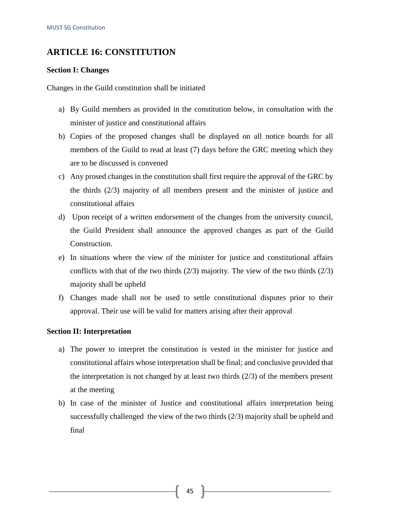# <span id="page-45-0"></span>**ARTICLE 16: CONSTITUTION**

### <span id="page-45-1"></span>**Section I: Changes**

Changes in the Guild constitution shall be initiated

- a) By Guild members as provided in the constitution below, in consultation with the minister of justice and constitutional affairs
- b) Copies of the proposed changes shall be displayed on all notice boards for all members of the Guild to read at least (7) days before the GRC meeting which they are to be discussed is convened
- c) Any prosed changes in the constitution shall first require the approval of the GRC by the thirds (2/3) majority of all members present and the minister of justice and constitutional affairs
- d) Upon receipt of a written endorsement of the changes from the university council, the Guild President shall announce the approved changes as part of the Guild Construction.
- e) In situations where the view of the minister for justice and constitutional affairs conflicts with that of the two thirds  $(2/3)$  majority. The view of the two thirds  $(2/3)$ majority shall be upheld
- f) Changes made shall not be used to settle constitutional disputes prior to their approval. Their use will be valid for matters arising after their approval

### <span id="page-45-2"></span>**Section II: Interpretation**

- a) The power to interpret the constitution is vested in the minister for justice and constitutional affairs whose interpretation shall be final; and conclusive provided that the interpretation is not changed by at least two thirds  $(2/3)$  of the members present at the meeting
- b) In case of the minister of Justice and constitutional affairs interpretation being successfully challenged the view of the two thirds (2/3) majority shall be upheld and final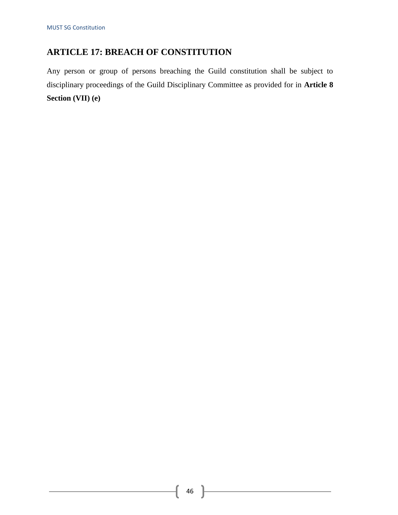# <span id="page-46-0"></span>**ARTICLE 17: BREACH OF CONSTITUTION**

Any person or group of persons breaching the Guild constitution shall be subject to disciplinary proceedings of the Guild Disciplinary Committee as provided for in **Article 8 Section (VII) (e)**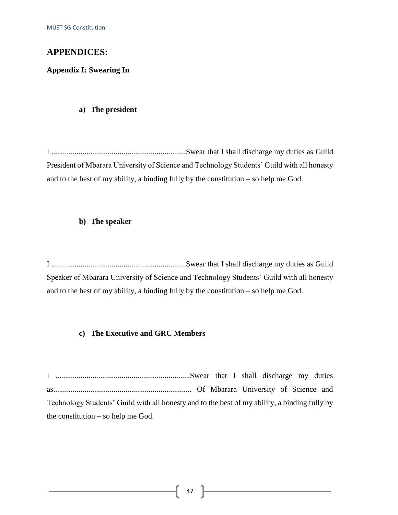# <span id="page-47-0"></span>**APPENDICES:**

# <span id="page-47-1"></span>**Appendix I: Swearing In**

### **a) The president**

I .....................................................................Swear that I shall discharge my duties as Guild President of Mbarara University of Science and Technology Students' Guild with all honesty and to the best of my ability, a binding fully by the constitution – so help me God.

#### **b) The speaker**

I .....................................................................Swear that I shall discharge my duties as Guild Speaker of Mbarara University of Science and Technology Students' Guild with all honesty and to the best of my ability, a binding fully by the constitution  $-$  so help me God.

### **c) The Executive and GRC Members**

I .....................................................................Swear that I shall discharge my duties as....................................................................... Of Mbarara University of Science and Technology Students' Guild with all honesty and to the best of my ability, a binding fully by the constitution – so help me God.